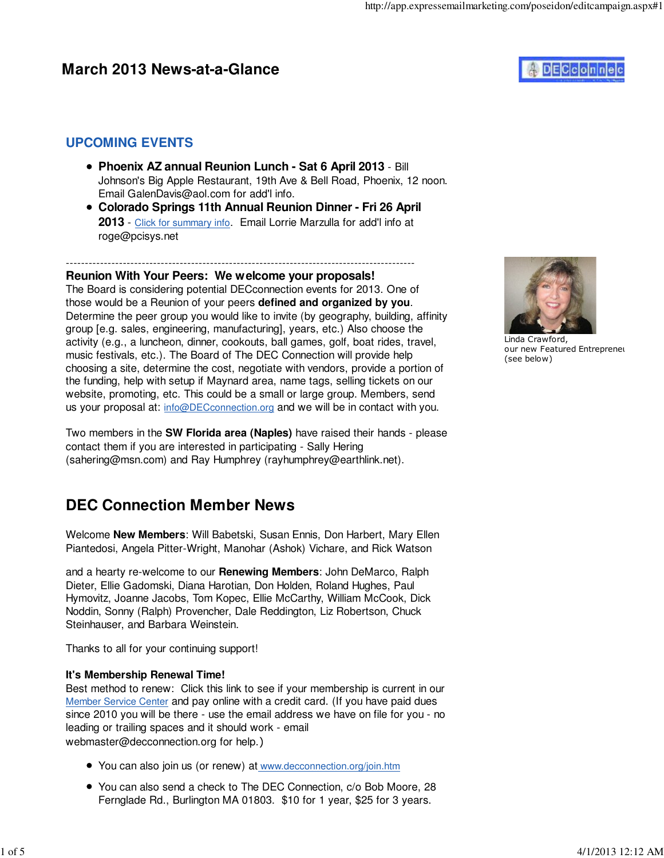## **March 2013 News-at-a-Glance**



### **UPCOMING EVENTS**

- **Phoenix AZ annual Reunion Lunch Sat 6 April 2013** Bill Johnson's Big Apple Restaurant, 19th Ave & Bell Road, Phoenix, 12 noon. Email GalenDavis@aol.com for add'l info.
- **Colorado Springs 11th Annual Reunion Dinner Fri 26 April 2013** - Click for summary info. Email Lorrie Marzulla for add'l info at roge@pcisys.net

#### -------------------------------------------------------------------------------------------- **Reunion With Your Peers: We welcome your proposals!**

The Board is considering potential DECconnection events for 2013. One of those would be a Reunion of your peers **defined and organized by you**. Determine the peer group you would like to invite (by geography, building, affinity group [e.g. sales, engineering, manufacturing], years, etc.) Also choose the activity (e.g., a luncheon, dinner, cookouts, ball games, golf, boat rides, travel, music festivals, etc.). The Board of The DEC Connection will provide help choosing a site, determine the cost, negotiate with vendors, provide a portion of the funding, help with setup if Maynard area, name tags, selling tickets on our website, promoting, etc. This could be a small or large group. Members, send us your proposal at: info@DECconnection.org and we will be in contact with you.

Two members in the **SW Florida area (Naples)** have raised their hands - please contact them if you are interested in participating - Sally Hering (sahering@msn.com) and Ray Humphrey (rayhumphrey@earthlink.net).

# **DEC Connection Member News**

Welcome **New Members**: Will Babetski, Susan Ennis, Don Harbert, Mary Ellen Piantedosi, Angela Pitter-Wright, Manohar (Ashok) Vichare, and Rick Watson

and a hearty re-welcome to our **Renewing Members**: John DeMarco, Ralph Dieter, Ellie Gadomski, Diana Harotian, Don Holden, Roland Hughes, Paul Hymovitz, Joanne Jacobs, Tom Kopec, Ellie McCarthy, William McCook, Dick Noddin, Sonny (Ralph) Provencher, Dale Reddington, Liz Robertson, Chuck Steinhauser, and Barbara Weinstein.

Thanks to all for your continuing support!

### **It's Membership Renewal Time!**

Best method to renew: Click this link to see if your membership is current in our Member Service Center and pay online with a credit card. (If you have paid dues since 2010 you will be there - use the email address we have on file for you - no leading or trailing spaces and it should work - email webmaster@decconnection.org for help.)

- You can also join us (or renew) at www.decconnection.org/join.htm
- You can also send a check to The DEC Connection, c/o Bob Moore, 28 Fernglade Rd., Burlington MA 01803. \$10 for 1 year, \$25 for 3 years.



Linda Crawford, our new Featured Entrepreneu (see below)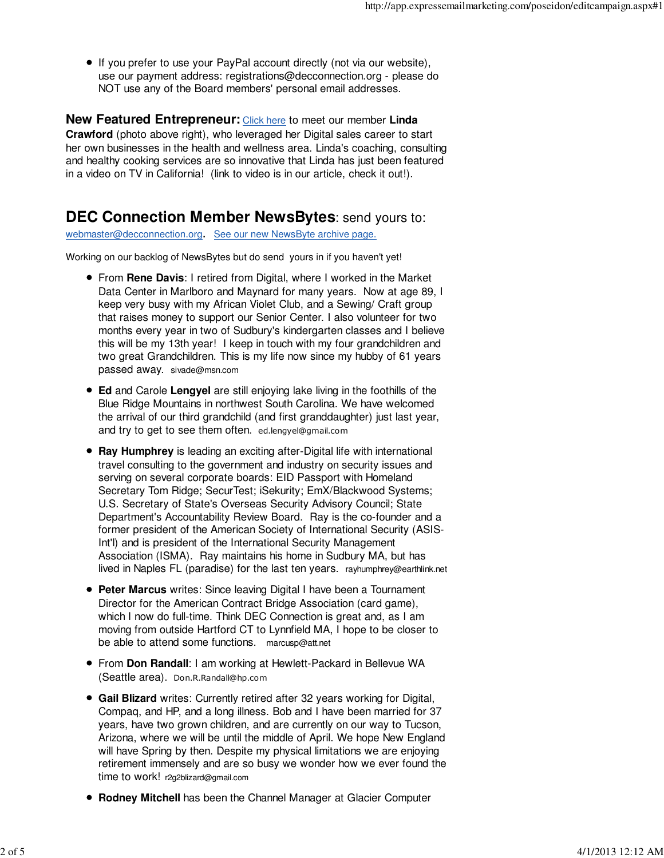• If you prefer to use your PayPal account directly (not via our website), use our payment address: registrations@decconnection.org - please do NOT use any of the Board members' personal email addresses.

**New Featured Entrepreneur:** Click here to meet our member **Linda Crawford** (photo above right), who leveraged her Digital sales career to start her own businesses in the health and wellness area. Linda's coaching, consulting and healthy cooking services are so innovative that Linda has just been featured in a video on TV in California! (link to video is in our article, check it out!).

### **DEC Connection Member NewsBytes**: send yours to:

webmaster@decconnection.org. See our new NewsByte archive page.

Working on our backlog of NewsBytes but do send yours in if you haven't yet!

- From **Rene Davis**: I retired from Digital, where I worked in the Market Data Center in Marlboro and Maynard for many years. Now at age 89, I keep very busy with my African Violet Club, and a Sewing/ Craft group that raises money to support our Senior Center. I also volunteer for two months every year in two of Sudbury's kindergarten classes and I believe this will be my 13th year! I keep in touch with my four grandchildren and two great Grandchildren. This is my life now since my hubby of 61 years passed away. sivade@msn.com
- **Ed** and Carole **Lengyel** are still enjoying lake living in the foothills of the Blue Ridge Mountains in northwest South Carolina. We have welcomed the arrival of our third grandchild (and first granddaughter) just last year, and try to get to see them often. ed.lengyel@gmail.com
- **Ray Humphrey** is leading an exciting after-Digital life with international travel consulting to the government and industry on security issues and serving on several corporate boards: EID Passport with Homeland Secretary Tom Ridge; SecurTest; iSekurity; EmX/Blackwood Systems; U.S. Secretary of State's Overseas Security Advisory Council; State Department's Accountability Review Board. Ray is the co-founder and a former president of the American Society of International Security (ASIS-Int'l) and is president of the International Security Management Association (ISMA). Ray maintains his home in Sudbury MA, but has lived in Naples FL (paradise) for the last ten years. rayhumphrey@earthlink.net
- **Peter Marcus** writes: Since leaving Digital I have been a Tournament Director for the American Contract Bridge Association (card game), which I now do full-time. Think DEC Connection is great and, as I am moving from outside Hartford CT to Lynnfield MA, I hope to be closer to be able to attend some functions. marcusp@att.net
- From **Don Randall**: I am working at Hewlett-Packard in Bellevue WA (Seattle area). Don.R.Randall@hp.com
- **Gail Blizard** writes: Currently retired after 32 years working for Digital, Compaq, and HP, and a long illness. Bob and I have been married for 37 years, have two grown children, and are currently on our way to Tucson, Arizona, where we will be until the middle of April. We hope New England will have Spring by then. Despite my physical limitations we are enjoying retirement immensely and are so busy we wonder how we ever found the time to work! r2g2blizard@gmail.com
- **Rodney Mitchell** has been the Channel Manager at Glacier Computer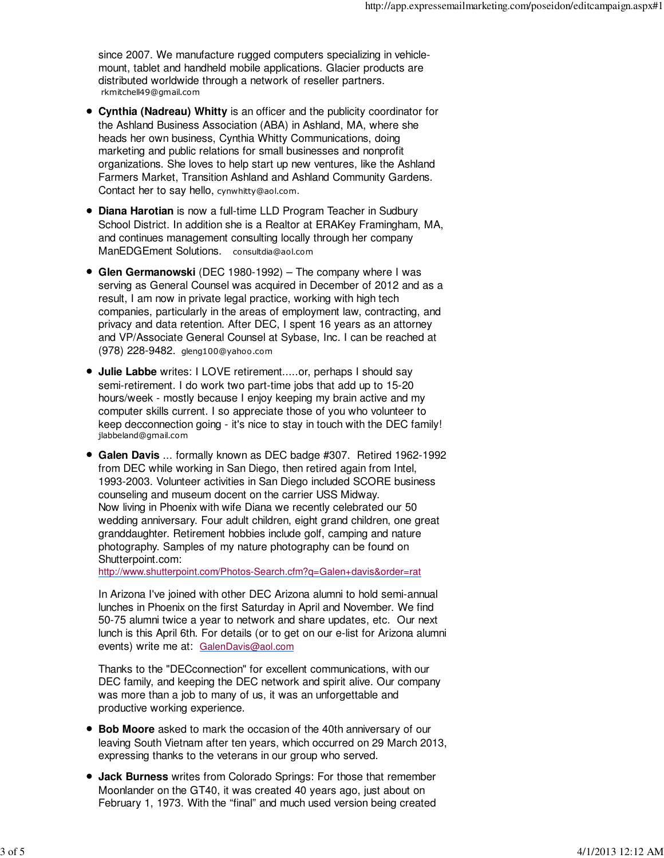since 2007. We manufacture rugged computers specializing in vehiclemount, tablet and handheld mobile applications. Glacier products are distributed worldwide through a network of reseller partners. rkmitchell49@gmail.com

- **Cynthia (Nadreau) Whitty** is an officer and the publicity coordinator for the Ashland Business Association (ABA) in Ashland, MA, where she heads her own business, Cynthia Whitty Communications, doing marketing and public relations for small businesses and nonprofit organizations. She loves to help start up new ventures, like the Ashland Farmers Market, Transition Ashland and Ashland Community Gardens. Contact her to say hello, cynwhitty@aol.com.
- **Diana Harotian** is now a full-time LLD Program Teacher in Sudbury School District. In addition she is a Realtor at ERAKey Framingham, MA, and continues management consulting locally through her company ManEDGEment Solutions. consultdia@aol.com
- **Glen Germanowski** (DEC 1980-1992) The company where I was serving as General Counsel was acquired in December of 2012 and as a result, I am now in private legal practice, working with high tech companies, particularly in the areas of employment law, contracting, and privacy and data retention. After DEC, I spent 16 years as an attorney and VP/Associate General Counsel at Sybase, Inc. I can be reached at (978) 228-9482. gleng100@yahoo.com
- **Julie Labbe** writes: I LOVE retirement.....or, perhaps I should say semi-retirement. I do work two part-time jobs that add up to 15-20 hours/week - mostly because I enjoy keeping my brain active and my computer skills current. I so appreciate those of you who volunteer to keep decconnection going - it's nice to stay in touch with the DEC family! jlabbeland@gmail.com
- **Galen Davis** ... formally known as DEC badge #307. Retired 1962-1992 from DEC while working in San Diego, then retired again from Intel, 1993-2003. Volunteer activities in San Diego included SCORE business counseling and museum docent on the carrier USS Midway. Now living in Phoenix with wife Diana we recently celebrated our 50 wedding anniversary. Four adult children, eight grand children, one great granddaughter. Retirement hobbies include golf, camping and nature photography. Samples of my nature photography can be found on Shutterpoint.com:

http://www.shutterpoint.com/Photos-Search.cfm?q=Galen+davis&order=rat

In Arizona I've joined with other DEC Arizona alumni to hold semi-annual lunches in Phoenix on the first Saturday in April and November. We find 50-75 alumni twice a year to network and share updates, etc. Our next lunch is this April 6th. For details (or to get on our e-list for Arizona alumni events) write me at: GalenDavis@aol.com

Thanks to the "DECconnection" for excellent communications, with our DEC family, and keeping the DEC network and spirit alive. Our company was more than a job to many of us, it was an unforgettable and productive working experience.

- **Bob Moore** asked to mark the occasion of the 40th anniversary of our leaving South Vietnam after ten years, which occurred on 29 March 2013, expressing thanks to the veterans in our group who served.
- **Jack Burness** writes from Colorado Springs: For those that remember Moonlander on the GT40, it was created 40 years ago, just about on February 1, 1973. With the "final" and much used version being created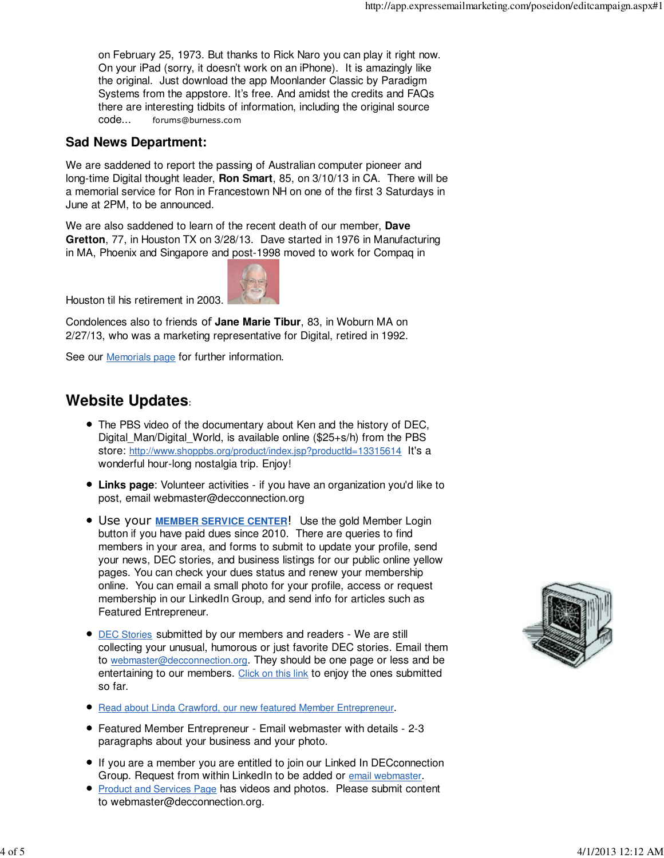on February 25, 1973. But thanks to Rick Naro you can play it right now. On your iPad (sorry, it doesn't work on an iPhone). It is amazingly like the original. Just download the app Moonlander Classic by Paradigm Systems from the appstore. It's free. And amidst the credits and FAQs there are interesting tidbits of information, including the original source code... forums@burness.com

### **Sad News Department:**

We are saddened to report the passing of Australian computer pioneer and long-time Digital thought leader, **Ron Smart**, 85, on 3/10/13 in CA. There will be a memorial service for Ron in Francestown NH on one of the first 3 Saturdays in June at 2PM, to be announced.

We are also saddened to learn of the recent death of our member, **Dave Gretton**, 77, in Houston TX on 3/28/13. Dave started in 1976 in Manufacturing in MA, Phoenix and Singapore and post-1998 moved to work for Compaq in



Houston til his retirement in 2003.

Condolences also to friends of **Jane Marie Tibur**, 83, in Woburn MA on 2/27/13, who was a marketing representative for Digital, retired in 1992.

See our **Memorials page** for further information.

# **Website Updates**:

- The PBS video of the documentary about Ken and the history of DEC, Digital Man/Digital World, is available online ( $$25+s/h$ ) from the PBS store: http://www.shoppbs.org/product/index.jsp?productId=13315614 It's a wonderful hour-long nostalgia trip. Enjoy!
- **Links page**: Volunteer activities if you have an organization you'd like to post, email webmaster@decconnection.org
- Use your **MEMBER SERVICE CENTER**! Use the gold Member Login button if you have paid dues since 2010. There are queries to find members in your area, and forms to submit to update your profile, send your news, DEC stories, and business listings for our public online yellow pages. You can check your dues status and renew your membership online. You can email a small photo for your profile, access or request membership in our LinkedIn Group, and send info for articles such as Featured Entrepreneur.
- **DEC Stories submitted by our members and readers We are still** collecting your unusual, humorous or just favorite DEC stories. Email them to webmaster@decconnection.org. They should be one page or less and be entertaining to our members. Click on this link to enjoy the ones submitted so far.
- Read about Linda Crawford, our new featured Member Entrepreneur.
- Featured Member Entrepreneur Email webmaster with details 2-3 paragraphs about your business and your photo.
- If you are a member you are entitled to join our Linked In DECconnection Group. Request from within LinkedIn to be added or email webmaster.
- **Product and Services Page has videos and photos. Please submit content** to webmaster@decconnection.org.